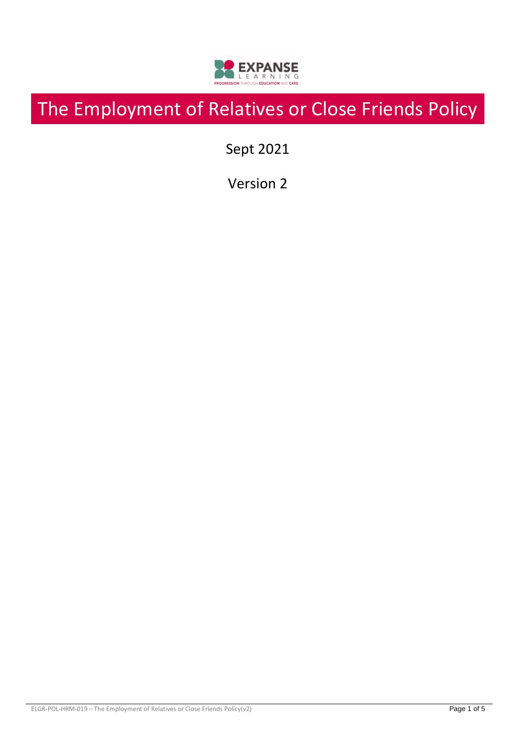

# The Employment of Relatives or Close Friends Policy

Sept 2021

Version 2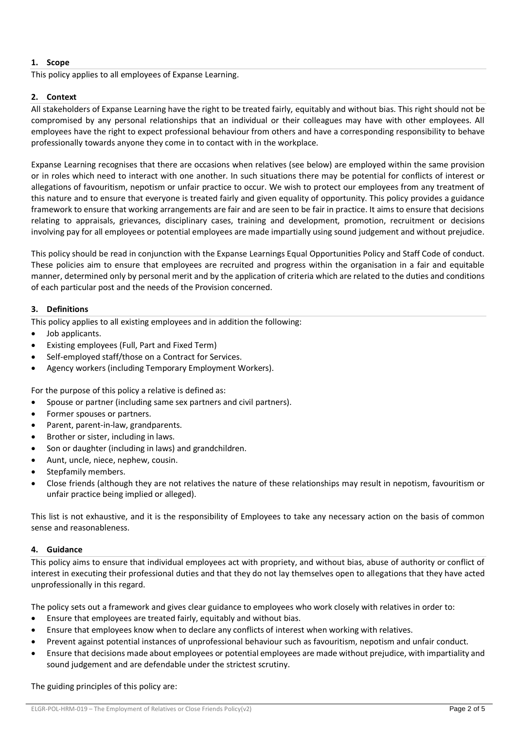# **1. Scope**

This policy applies to all employees of Expanse Learning.

# **2. Context**

All stakeholders of Expanse Learning have the right to be treated fairly, equitably and without bias. This right should not be compromised by any personal relationships that an individual or their colleagues may have with other employees. All employees have the right to expect professional behaviour from others and have a corresponding responsibility to behave professionally towards anyone they come in to contact with in the workplace.

Expanse Learning recognises that there are occasions when relatives (see below) are employed within the same provision or in roles which need to interact with one another. In such situations there may be potential for conflicts of interest or allegations of favouritism, nepotism or unfair practice to occur. We wish to protect our employees from any treatment of this nature and to ensure that everyone is treated fairly and given equality of opportunity. This policy provides a guidance framework to ensure that working arrangements are fair and are seen to be fair in practice. It aims to ensure that decisions relating to appraisals, grievances, disciplinary cases, training and development, promotion, recruitment or decisions involving pay for all employees or potential employees are made impartially using sound judgement and without prejudice.

This policy should be read in conjunction with the Expanse Learnings Equal Opportunities Policy and Staff Code of conduct. These policies aim to ensure that employees are recruited and progress within the organisation in a fair and equitable manner, determined only by personal merit and by the application of criteria which are related to the duties and conditions of each particular post and the needs of the Provision concerned.

### **3. Definitions**

This policy applies to all existing employees and in addition the following:

- Job applicants.
- Existing employees (Full, Part and Fixed Term)
- Self-employed staff/those on a Contract for Services.
- Agency workers (including Temporary Employment Workers).

For the purpose of this policy a relative is defined as:

- Spouse or partner (including same sex partners and civil partners).
- Former spouses or partners.
- Parent, parent-in-law, grandparents.
- Brother or sister, including in laws.
- Son or daughter (including in laws) and grandchildren.
- Aunt, uncle, niece, nephew, cousin.
- Stepfamily members.
- Close friends (although they are not relatives the nature of these relationships may result in nepotism, favouritism or unfair practice being implied or alleged).

This list is not exhaustive, and it is the responsibility of Employees to take any necessary action on the basis of common sense and reasonableness.

### **4. Guidance**

This policy aims to ensure that individual employees act with propriety, and without bias, abuse of authority or conflict of interest in executing their professional duties and that they do not lay themselves open to allegations that they have acted unprofessionally in this regard.

The policy sets out a framework and gives clear guidance to employees who work closely with relatives in order to:

- Ensure that employees are treated fairly, equitably and without bias.
- Ensure that employees know when to declare any conflicts of interest when working with relatives.
- Prevent against potential instances of unprofessional behaviour such as favouritism, nepotism and unfair conduct.
- Ensure that decisions made about employees or potential employees are made without prejudice, with impartiality and sound judgement and are defendable under the strictest scrutiny.

The guiding principles of this policy are: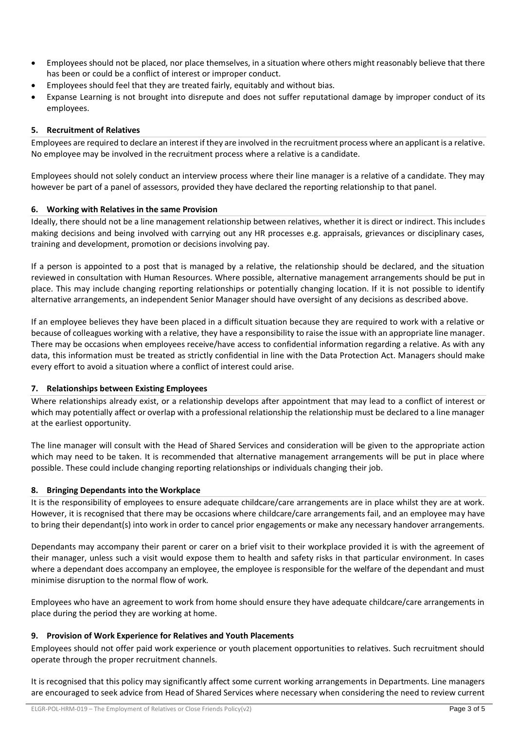- Employees should not be placed, nor place themselves, in a situation where others might reasonably believe that there has been or could be a conflict of interest or improper conduct.
- Employees should feel that they are treated fairly, equitably and without bias.
- Expanse Learning is not brought into disrepute and does not suffer reputational damage by improper conduct of its employees.

### **5. Recruitment of Relatives**

Employees are required to declare an interest if they are involved in the recruitment process where an applicant is a relative. No employee may be involved in the recruitment process where a relative is a candidate.

Employees should not solely conduct an interview process where their line manager is a relative of a candidate. They may however be part of a panel of assessors, provided they have declared the reporting relationship to that panel.

### **6. Working with Relatives in the same Provision**

Ideally, there should not be a line management relationship between relatives, whether it is direct or indirect. This includes making decisions and being involved with carrying out any HR processes e.g. appraisals, grievances or disciplinary cases, training and development, promotion or decisions involving pay.

If a person is appointed to a post that is managed by a relative, the relationship should be declared, and the situation reviewed in consultation with Human Resources. Where possible, alternative management arrangements should be put in place. This may include changing reporting relationships or potentially changing location. If it is not possible to identify alternative arrangements, an independent Senior Manager should have oversight of any decisions as described above.

If an employee believes they have been placed in a difficult situation because they are required to work with a relative or because of colleagues working with a relative, they have a responsibility to raise the issue with an appropriate line manager. There may be occasions when employees receive/have access to confidential information regarding a relative. As with any data, this information must be treated as strictly confidential in line with the Data Protection Act. Managers should make every effort to avoid a situation where a conflict of interest could arise.

### **7. Relationships between Existing Employees**

Where relationships already exist, or a relationship develops after appointment that may lead to a conflict of interest or which may potentially affect or overlap with a professional relationship the relationship must be declared to a line manager at the earliest opportunity.

The line manager will consult with the Head of Shared Services and consideration will be given to the appropriate action which may need to be taken. It is recommended that alternative management arrangements will be put in place where possible. These could include changing reporting relationships or individuals changing their job.

### **8. Bringing Dependants into the Workplace**

It is the responsibility of employees to ensure adequate childcare/care arrangements are in place whilst they are at work. However, it is recognised that there may be occasions where childcare/care arrangements fail, and an employee may have to bring their dependant(s) into work in order to cancel prior engagements or make any necessary handover arrangements.

Dependants may accompany their parent or carer on a brief visit to their workplace provided it is with the agreement of their manager, unless such a visit would expose them to health and safety risks in that particular environment. In cases where a dependant does accompany an employee, the employee is responsible for the welfare of the dependant and must minimise disruption to the normal flow of work.

Employees who have an agreement to work from home should ensure they have adequate childcare/care arrangements in place during the period they are working at home.

### **9. Provision of Work Experience for Relatives and Youth Placements**

Employees should not offer paid work experience or youth placement opportunities to relatives. Such recruitment should operate through the proper recruitment channels.

It is recognised that this policy may significantly affect some current working arrangements in Departments. Line managers are encouraged to seek advice from Head of Shared Services where necessary when considering the need to review current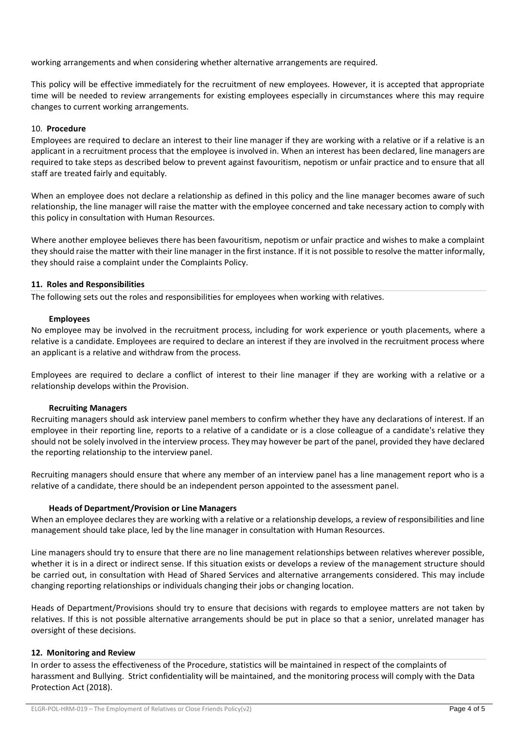working arrangements and when considering whether alternative arrangements are required.

This policy will be effective immediately for the recruitment of new employees. However, it is accepted that appropriate time will be needed to review arrangements for existing employees especially in circumstances where this may require changes to current working arrangements.

#### 10. **Procedure**

Employees are required to declare an interest to their line manager if they are working with a relative or if a relative is an applicant in a recruitment process that the employee is involved in. When an interest has been declared, line managers are required to take steps as described below to prevent against favouritism, nepotism or unfair practice and to ensure that all staff are treated fairly and equitably.

When an employee does not declare a relationship as defined in this policy and the line manager becomes aware of such relationship, the line manager will raise the matter with the employee concerned and take necessary action to comply with this policy in consultation with Human Resources.

Where another employee believes there has been favouritism, nepotism or unfair practice and wishes to make a complaint they should raise the matter with their line manager in the first instance. If it is not possible to resolve the matter informally, they should raise a complaint under the Complaints Policy.

#### **11. Roles and Responsibilities**

The following sets out the roles and responsibilities for employees when working with relatives.

#### **Employees**

No employee may be involved in the recruitment process, including for work experience or youth placements, where a relative is a candidate. Employees are required to declare an interest if they are involved in the recruitment process where an applicant is a relative and withdraw from the process.

Employees are required to declare a conflict of interest to their line manager if they are working with a relative or a relationship develops within the Provision.

#### **Recruiting Managers**

Recruiting managers should ask interview panel members to confirm whether they have any declarations of interest. If an employee in their reporting line, reports to a relative of a candidate or is a close colleague of a candidate's relative they should not be solely involved in the interview process. They may however be part of the panel, provided they have declared the reporting relationship to the interview panel.

Recruiting managers should ensure that where any member of an interview panel has a line management report who is a relative of a candidate, there should be an independent person appointed to the assessment panel.

### **Heads of Department/Provision or Line Managers**

When an employee declares they are working with a relative or a relationship develops, a review of responsibilities and line management should take place, led by the line manager in consultation with Human Resources.

Line managers should try to ensure that there are no line management relationships between relatives wherever possible, whether it is in a direct or indirect sense. If this situation exists or develops a review of the management structure should be carried out, in consultation with Head of Shared Services and alternative arrangements considered. This may include changing reporting relationships or individuals changing their jobs or changing location.

Heads of Department/Provisions should try to ensure that decisions with regards to employee matters are not taken by relatives. If this is not possible alternative arrangements should be put in place so that a senior, unrelated manager has oversight of these decisions.

### **12. Monitoring and Review**

In order to assess the effectiveness of the Procedure, statistics will be maintained in respect of the complaints of harassment and Bullying. Strict confidentiality will be maintained, and the monitoring process will comply with the Data Protection Act (2018).